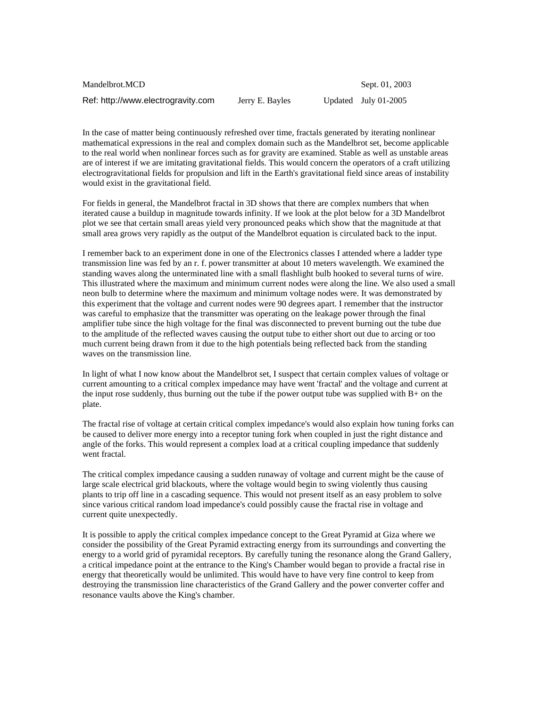| Mandelbrot.MCD                     |                 | Sept. 01, 200.         |
|------------------------------------|-----------------|------------------------|
| Ref: http://www.electrogravity.com | Jerry E. Bayles | Updated July $01-2005$ |

Sept. 01, 2003

In the case of matter being continuously refreshed over time, fractals generated by iterating nonlinear mathematical expressions in the real and complex domain such as the Mandelbrot set, become applicable to the real world when nonlinear forces such as for gravity are examined. Stable as well as unstable areas are of interest if we are imitating gravitational fields. This would concern the operators of a craft utilizing electrogravitational fields for propulsion and lift in the Earth's gravitational field since areas of instability would exist in the gravitational field.

For fields in general, the Mandelbrot fractal in 3D shows that there are complex numbers that when iterated cause a buildup in magnitude towards infinity. If we look at the plot below for a 3D Mandelbrot plot we see that certain small areas yield very pronounced peaks which show that the magnitude at that small area grows very rapidly as the output of the Mandelbrot equation is circulated back to the input.

I remember back to an experiment done in one of the Electronics classes I attended where a ladder type transmission line was fed by an r. f. power transmitter at about 10 meters wavelength. We examined the standing waves along the unterminated line with a small flashlight bulb hooked to several turns of wire. This illustrated where the maximum and minimum current nodes were along the line. We also used a small neon bulb to determine where the maximum and minimum voltage nodes were. It was demonstrated by this experiment that the voltage and current nodes were 90 degrees apart. I remember that the instructor was careful to emphasize that the transmitter was operating on the leakage power through the final amplifier tube since the high voltage for the final was disconnected to prevent burning out the tube due to the amplitude of the reflected waves causing the output tube to either short out due to arcing or too much current being drawn from it due to the high potentials being reflected back from the standing waves on the transmission line.

In light of what I now know about the Mandelbrot set, I suspect that certain complex values of voltage or current amounting to a critical complex impedance may have went 'fractal' and the voltage and current at the input rose suddenly, thus burning out the tube if the power output tube was supplied with B+ on the plate.

The fractal rise of voltage at certain critical complex impedance's would also explain how tuning forks can be caused to deliver more energy into a receptor tuning fork when coupled in just the right distance and angle of the forks. This would represent a complex load at a critical coupling impedance that suddenly went fractal.

The critical complex impedance causing a sudden runaway of voltage and current might be the cause of large scale electrical grid blackouts, where the voltage would begin to swing violently thus causing plants to trip off line in a cascading sequence. This would not present itself as an easy problem to solve since various critical random load impedance's could possibly cause the fractal rise in voltage and current quite unexpectedly.

It is possible to apply the critical complex impedance concept to the Great Pyramid at Giza where we consider the possibility of the Great Pyramid extracting energy from its surroundings and converting the energy to a world grid of pyramidal receptors. By carefully tuning the resonance along the Grand Gallery, a critical impedance point at the entrance to the King's Chamber would began to provide a fractal rise in energy that theoretically would be unlimited. This would have to have very fine control to keep from destroying the transmission line characteristics of the Grand Gallery and the power converter coffer and resonance vaults above the King's chamber.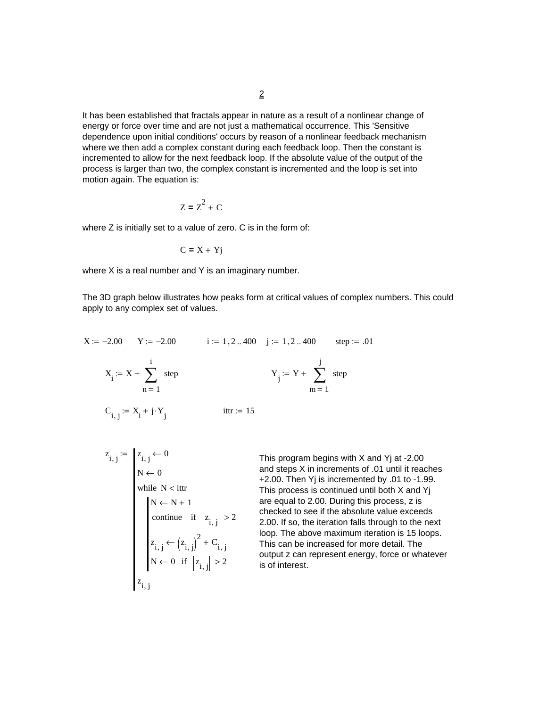It has been established that fractals appear in nature as a result of a nonlinear change of energy or force over time and are not just a mathematical occurrence. This 'Sensitive dependence upon initial conditions' occurs by reason of a nonlinear feedback mechanism where we then add a complex constant during each feedback loop. Then the constant is incremented to allow for the next feedback loop. If the absolute value of the output of the process is larger than two, the complex constant is incremented and the loop is set into motion again. The equation is:

$$
Z = Z^2 + C
$$

where Z is initially set to a value of zero. C is in the form of:

$$
C = X + Yj
$$

where X is a real number and Y is an imaginary number.

The 3D graph below illustrates how peaks form at critical values of complex numbers. This could apply to any complex set of values.

$$
X := -2.00 \t Y := -2.00 \t i := 1, 2..400 \t j := 1, 2..400 \t step := .01
$$
  

$$
X_i := X + \sum_{n=1}^{i} \text{step} \t Y_j := Y + \sum_{m=1}^{j} \text{step}
$$
  

$$
C_{i, j} := X_i + j \cdot Y_j \t ittr := 15
$$

$$
z_{i,j} := \begin{cases} z_{i,j} \leftarrow 0 \\ N \leftarrow 0 \\ \text{while } N < \text{ittr} \end{cases}
$$
\n
$$
\begin{aligned} N \leftarrow N + 1 \\ \text{continue} & \text{if } \left| z_{i,j} \right| > 2 \\ z_{i,j} < \left( z_{i,j} \right)^2 + C_{i,j} \\ N \leftarrow 0 & \text{if } \left| z_{i,j} \right| > 2 \\ z_{i,j} \end{aligned}
$$

This program begins with X and Yj at -2.00 and steps X in increments of .01 until it reaches +2.00. Then Yj is incremented by .01 to -1.99. This process is continued until both X and Yj are equal to 2.00. During this process, z is checked to see if the absolute value exceeds 2.00. If so, the iteration falls through to the next loop. The above maximum iteration is 15 loops. This can be increased for more detail. The output z can represent energy, force or whatever is of interest.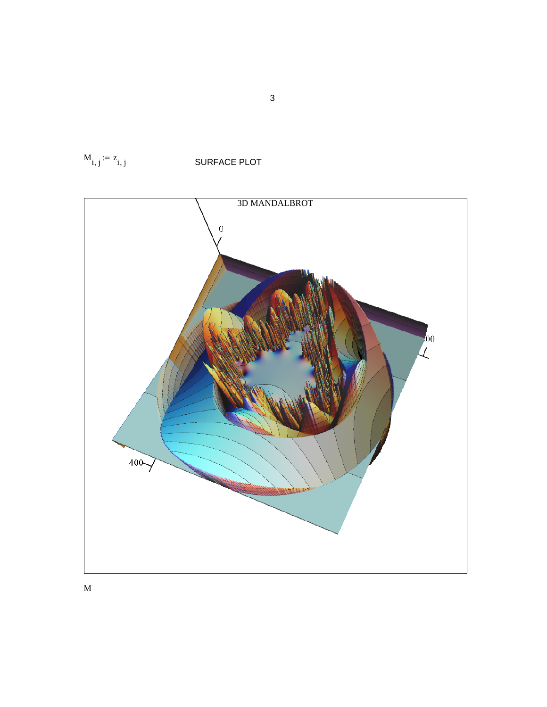

 $M_{i, j} := z_{i, j}$ SURFACE PLOT